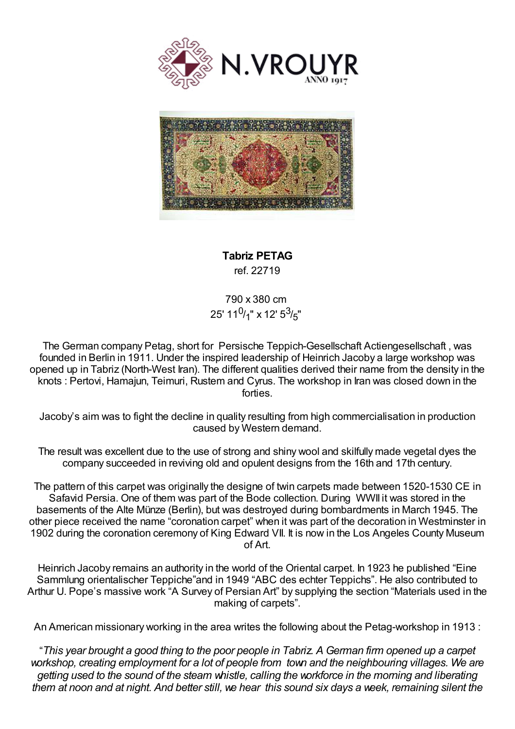



**Tabriz PETAG** ref. 22719

790 x 380 cm 25' 11<sup>0</sup>/<sub>1</sub>" x 12' 5<sup>3</sup>/<sub>5</sub>"

The German company Petag, short for Persische Teppich-Gesellschaft Actiengesellschaft , was founded in Berlin in 1911. Under the inspired leadership of Heinrich Jacoby a large workshop was opened up in Tabriz (North-West Iran). The different qualities derived their name from the density in the knots : Pertovi, Hamajun, Teimuri, Rustem and Cyrus. The workshop in Iran was closed down in the forties.

Jacoby's aim was to fight the decline in quality resulting from high commercialisation in production caused by Western demand.

The result was excellent due to the use of strong and shiny wool and skilfully made vegetal dyes the company succeeded in reviving old and opulent designs from the 16th and 17th century.

The pattern of this carpet was originally the designe of twin carpets made between 1520-1530 CE in Safavid Persia. One of them was part of the Bode collection. During WWII it was stored in the basements of the Alte Münze (Berlin), but was destroyed during bombardments in March 1945. The other piece received the name "coronation carpet" when it was part of the decoration in Westminster in 1902 during the coronation ceremony of King Edward VII. It is now in the Los Angeles County Museum of Art.

Heinrich Jacoby remains an authority in the world of the Oriental carpet. In 1923 he published "Eine Sammlung orientalischer Teppiche"and in 1949 "ABC des echter Teppichs". He also contributed to Arthur U. Pope's massive work "A Survey of Persian Art" by supplying the section "Materials used in the making of carpets".

An American missionary working in the area writes the following about the Petag-workshop in 1913 :

"This year brought a good thing to the poor people in Tabriz. A German firm opened up a carpet *workshop, creating employment for a lot of people from town and the neighbouring villages. We are getting used to the sound of the steam whistle, calling the workforce in the morning and liberating* them at noon and at night. And better still, we hear this sound six days a week, remaining silent the